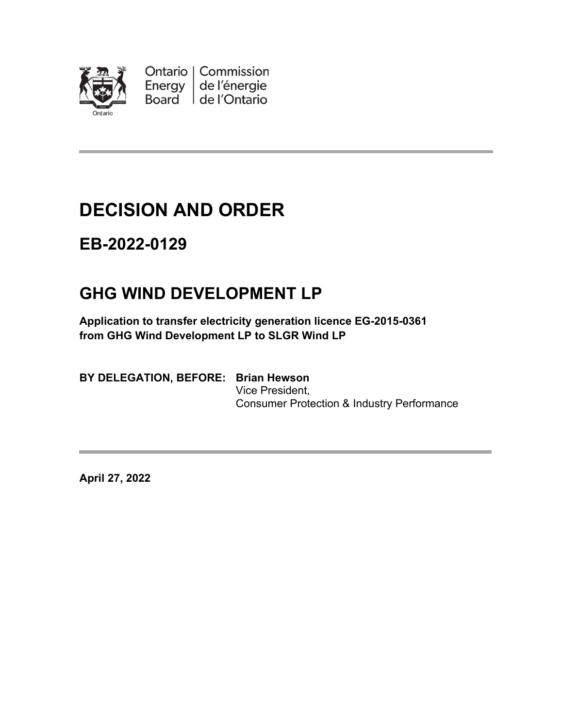

Ontario | Commission Energy de l'énergie Board de l'Ontario

# **DECISION AND ORDER**

## **EB-2022-0129**

## **GHG WIND DEVELOPMENT LP**

**Application to transfer electricity generation licence EG-2015-0361 from GHG Wind Development LP to SLGR Wind LP**

**BY DELEGATION, BEFORE: Brian Hewson**

Vice President, Consumer Protection & Industry Performance

**April 27, 2022**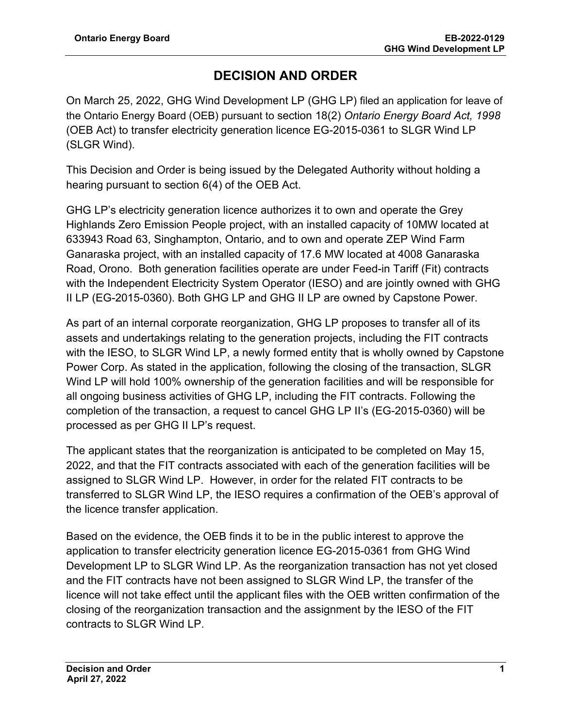### **DECISION AND ORDER**

On March 25, 2022, GHG Wind Development LP (GHG LP) filed an application for leave of the Ontario Energy Board (OEB) pursuant to section 18(2) *Ontario Energy Board Act, 1998* (OEB Act) to transfer electricity generation licence EG-2015-0361 to SLGR Wind LP (SLGR Wind).

This Decision and Order is being issued by the Delegated Authority without holding a hearing pursuant to section 6(4) of the OEB Act.

GHG LP's electricity generation licence authorizes it to own and operate the Grey Highlands Zero Emission People project, with an installed capacity of 10MW located at 633943 Road 63, Singhampton, Ontario, and to own and operate ZEP Wind Farm Ganaraska project, with an installed capacity of 17.6 MW located at 4008 Ganaraska Road, Orono. Both generation facilities operate are under Feed-in Tariff (Fit) contracts with the Independent Electricity System Operator (IESO) and are jointly owned with GHG II LP (EG-2015-0360). Both GHG LP and GHG II LP are owned by Capstone Power.

As part of an internal corporate reorganization, GHG LP proposes to transfer all of its assets and undertakings relating to the generation projects, including the FIT contracts with the IESO, to SLGR Wind LP, a newly formed entity that is wholly owned by Capstone Power Corp. As stated in the application, following the closing of the transaction, SLGR Wind LP will hold 100% ownership of the generation facilities and will be responsible for all ongoing business activities of GHG LP, including the FIT contracts. Following the completion of the transaction, a request to cancel GHG LP II's (EG-2015-0360) will be processed as per GHG II LP's request.

The applicant states that the reorganization is anticipated to be completed on May 15, 2022, and that the FIT contracts associated with each of the generation facilities will be assigned to SLGR Wind LP. However, in order for the related FIT contracts to be transferred to SLGR Wind LP, the IESO requires a confirmation of the OEB's approval of the licence transfer application.

Based on the evidence, the OEB finds it to be in the public interest to approve the application to transfer electricity generation licence EG-2015-0361 from GHG Wind Development LP to SLGR Wind LP. As the reorganization transaction has not yet closed and the FIT contracts have not been assigned to SLGR Wind LP, the transfer of the licence will not take effect until the applicant files with the OEB written confirmation of the closing of the reorganization transaction and the assignment by the IESO of the FIT contracts to SLGR Wind LP.